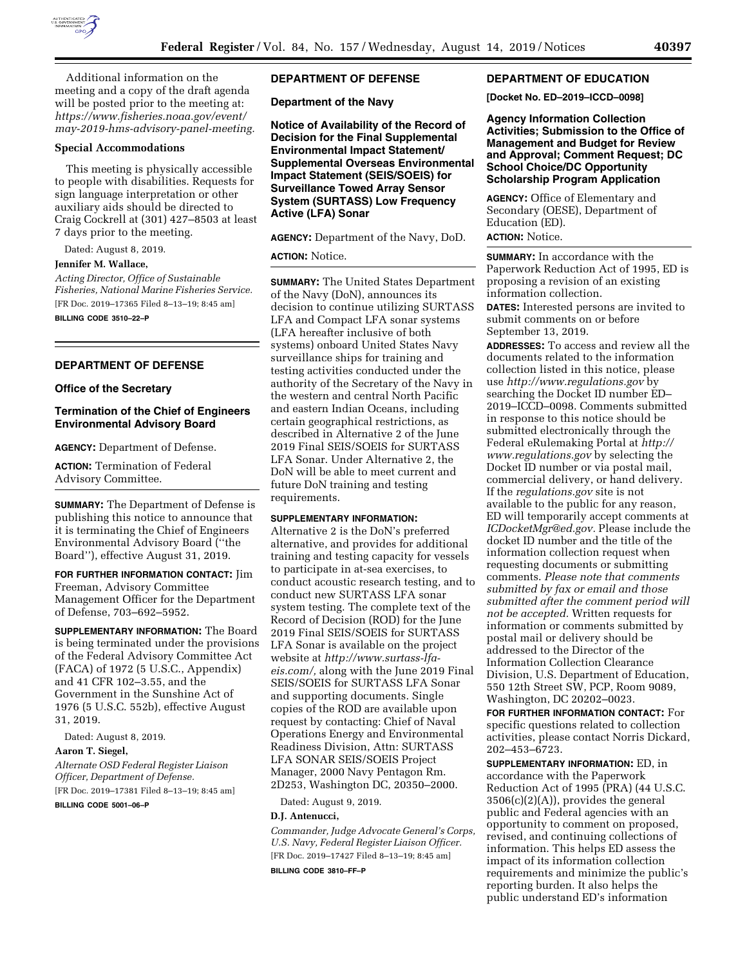

Additional information on the meeting and a copy of the draft agenda will be posted prior to the meeting at: *[https://www.fisheries.noaa.gov/event/](https://www.fisheries.noaa.gov/event/may-2019-hms-advisory-panel-meeting) [may-2019-hms-advisory-panel-meeting.](https://www.fisheries.noaa.gov/event/may-2019-hms-advisory-panel-meeting)* 

## **Special Accommodations**

This meeting is physically accessible to people with disabilities. Requests for sign language interpretation or other auxiliary aids should be directed to Craig Cockrell at (301) 427–8503 at least 7 days prior to the meeting.

Dated: August 8, 2019.

## **Jennifer M. Wallace,**

*Acting Director, Office of Sustainable Fisheries, National Marine Fisheries Service.*  [FR Doc. 2019–17365 Filed 8–13–19; 8:45 am]

**BILLING CODE 3510–22–P** 

#### **DEPARTMENT OF DEFENSE**

### **Office of the Secretary**

## **Termination of the Chief of Engineers Environmental Advisory Board**

**AGENCY:** Department of Defense.

**ACTION:** Termination of Federal Advisory Committee.

**SUMMARY:** The Department of Defense is publishing this notice to announce that it is terminating the Chief of Engineers Environmental Advisory Board (''the Board''), effective August 31, 2019.

**FOR FURTHER INFORMATION CONTACT:** Jim Freeman, Advisory Committee Management Officer for the Department of Defense, 703–692–5952.

**SUPPLEMENTARY INFORMATION:** The Board is being terminated under the provisions of the Federal Advisory Committee Act (FACA) of 1972 (5 U.S.C., Appendix) and 41 CFR 102–3.55, and the Government in the Sunshine Act of 1976 (5 U.S.C. 552b), effective August 31, 2019.

Dated: August 8, 2019.

## **Aaron T. Siegel,**

*Alternate OSD Federal Register Liaison Officer, Department of Defense.* 

[FR Doc. 2019–17381 Filed 8–13–19; 8:45 am] **BILLING CODE 5001–06–P** 

### **DEPARTMENT OF DEFENSE**

**Department of the Navy** 

**Notice of Availability of the Record of Decision for the Final Supplemental Environmental Impact Statement/ Supplemental Overseas Environmental Impact Statement (SEIS/SOEIS) for Surveillance Towed Array Sensor System (SURTASS) Low Frequency Active (LFA) Sonar** 

**AGENCY:** Department of the Navy, DoD.

#### **ACTION:** Notice.

**SUMMARY:** The United States Department of the Navy (DoN), announces its decision to continue utilizing SURTASS LFA and Compact LFA sonar systems (LFA hereafter inclusive of both systems) onboard United States Navy surveillance ships for training and testing activities conducted under the authority of the Secretary of the Navy in the western and central North Pacific and eastern Indian Oceans, including certain geographical restrictions, as described in Alternative 2 of the June 2019 Final SEIS/SOEIS for SURTASS LFA Sonar. Under Alternative 2, the DoN will be able to meet current and future DoN training and testing requirements.

#### **SUPPLEMENTARY INFORMATION:**

Alternative 2 is the DoN's preferred alternative, and provides for additional training and testing capacity for vessels to participate in at-sea exercises, to conduct acoustic research testing, and to conduct new SURTASS LFA sonar system testing. The complete text of the Record of Decision (ROD) for the June 2019 Final SEIS/SOEIS for SURTASS LFA Sonar is available on the project website at *[http://www.surtass-lfa](http://www.surtass-lfa-eis.com/)[eis.com/,](http://www.surtass-lfa-eis.com/)* along with the June 2019 Final SEIS/SOEIS for SURTASS LFA Sonar and supporting documents. Single copies of the ROD are available upon request by contacting: Chief of Naval Operations Energy and Environmental Readiness Division, Attn: SURTASS LFA SONAR SEIS/SOEIS Project Manager, 2000 Navy Pentagon Rm. 2D253, Washington DC, 20350–2000.

Dated: August 9, 2019.

#### **D.J. Antenucci,**

*Commander, Judge Advocate General's Corps, U.S. Navy, Federal Register Liaison Officer.*  [FR Doc. 2019–17427 Filed 8–13–19; 8:45 am]

**BILLING CODE 3810–FF–P** 

### **DEPARTMENT OF EDUCATION**

**[Docket No. ED–2019–ICCD–0098]** 

**Agency Information Collection Activities; Submission to the Office of Management and Budget for Review and Approval; Comment Request; DC School Choice/DC Opportunity Scholarship Program Application** 

**AGENCY:** Office of Elementary and Secondary (OESE), Department of Education (ED). **ACTION:** Notice.

**SUMMARY:** In accordance with the Paperwork Reduction Act of 1995, ED is proposing a revision of an existing information collection.

**DATES:** Interested persons are invited to submit comments on or before September 13, 2019.

**ADDRESSES:** To access and review all the documents related to the information collection listed in this notice, please use *<http://www.regulations.gov>*by searching the Docket ID number ED– 2019–ICCD–0098. Comments submitted in response to this notice should be submitted electronically through the Federal eRulemaking Portal at *[http://](http://www.regulations.gov) [www.regulations.gov](http://www.regulations.gov)* by selecting the Docket ID number or via postal mail, commercial delivery, or hand delivery. If the *regulations.gov* site is not available to the public for any reason, ED will temporarily accept comments at *[ICDocketMgr@ed.gov.](mailto:ICDocketMgr@ed.gov)* Please include the docket ID number and the title of the information collection request when requesting documents or submitting comments. *Please note that comments submitted by fax or email and those submitted after the comment period will not be accepted.* Written requests for information or comments submitted by postal mail or delivery should be addressed to the Director of the Information Collection Clearance Division, U.S. Department of Education, 550 12th Street SW, PCP, Room 9089, Washington, DC 20202–0023.

**FOR FURTHER INFORMATION CONTACT:** For specific questions related to collection activities, please contact Norris Dickard, 202–453–6723.

**SUPPLEMENTARY INFORMATION:** ED, in accordance with the Paperwork Reduction Act of 1995 (PRA) (44 U.S.C. 3506(c)(2)(A)), provides the general public and Federal agencies with an opportunity to comment on proposed, revised, and continuing collections of information. This helps ED assess the impact of its information collection requirements and minimize the public's reporting burden. It also helps the public understand ED's information